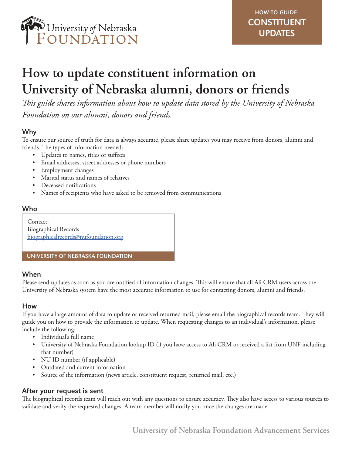

# **How to update constituent information on University of Nebraska alumni, donors or friends**

*This guide shares information about how to update data stored by the University of Nebraska Foundation on our alumni, donors and friends.*

# Why

To ensure our source of truth for data is always accurate, please share updates you may receive from donors, alumni and friends. The types of information needed:

- Updates to names, titles or suffixes
- Email addresses, street addresses or phone numbers
- Employment changes
- Marital status and names of relatives
- Deceased notifications
- Names of recipients who have asked to be removed from communications

#### Who

Contact: Biographical Records biographicalrecords@nufoundation.org

#### UNIVERSITY OF NEBRASKA FOUNDATION

### When

Please send updates as soon as you are notified of information changes. This will ensure that all Ali CRM users across the University of Nebraska system have the most accurate information to use for contacting donors, alumni and friends.

### How

If you have a large amount of data to update or received returned mail, please email the biographical records team. They will guide you on how to provide the information to update. When requesting changes to an individual's information, please include the following:

- Individual's full name
- University of Nebraska Foundation lookup ID (if you have access to Ali CRM or received a list from UNF including that number)
- NU ID number (if applicable)
- Outdated and current information
- Source of the information (news article, constituent request, returned mail, etc.)

### After your request is sent

The biographical records team will reach out with any questions to ensure accuracy. They also have access to various sources to validate and verify the requested changes. A team member will notify you once the changes are made.